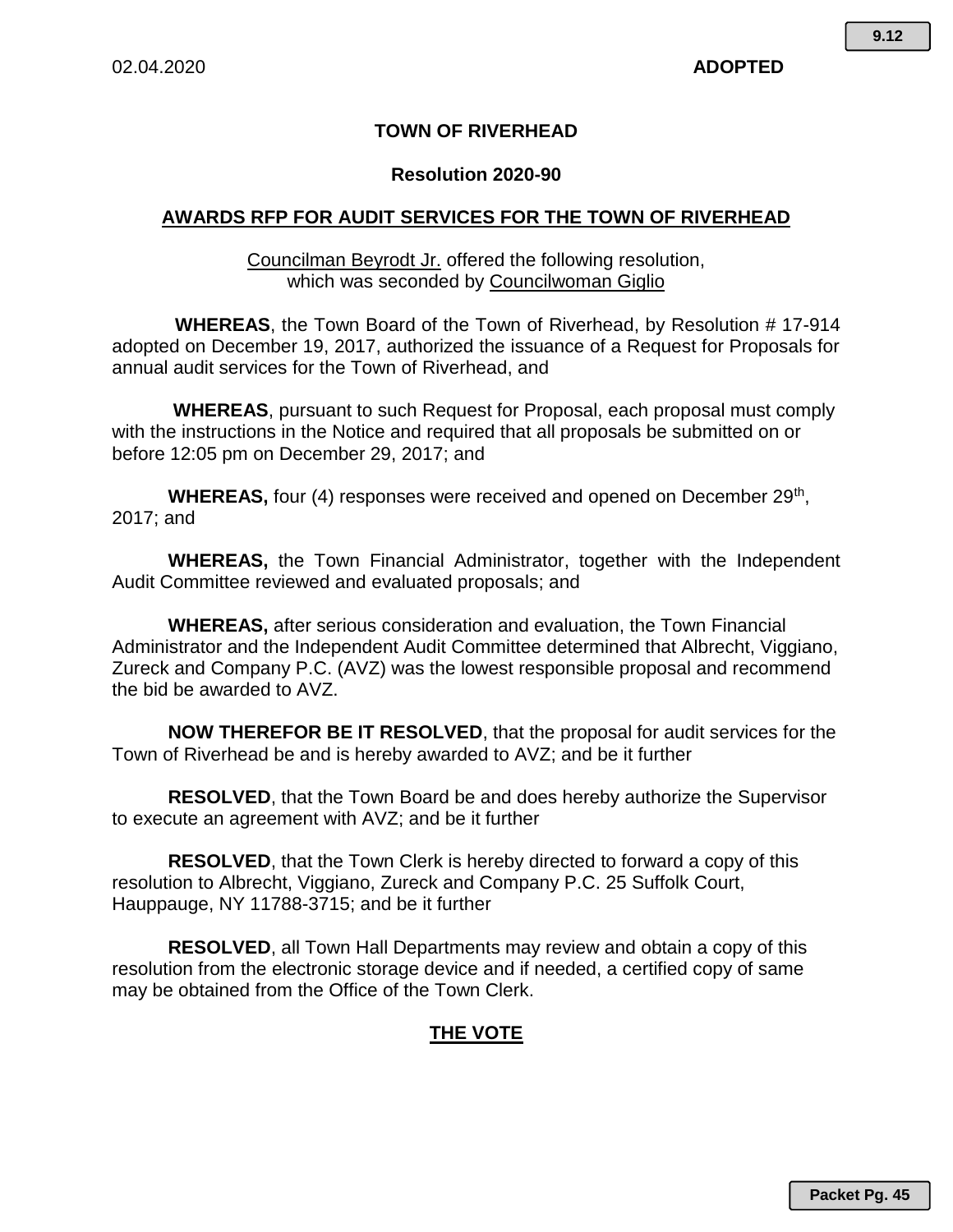## **TOWN OF RIVERHEAD**

## **Resolution 2020-90**

## **AWARDS RFP FOR AUDIT SERVICES FOR THE TOWN OF RIVERHEAD**

Councilman Beyrodt Jr. offered the following resolution, which was seconded by Councilwoman Giglio

**WHEREAS**, the Town Board of the Town of Riverhead, by Resolution # 17-914 adopted on December 19, 2017, authorized the issuance of a Request for Proposals for annual audit services for the Town of Riverhead, and

**WHEREAS**, pursuant to such Request for Proposal, each proposal must comply with the instructions in the Notice and required that all proposals be submitted on or before 12:05 pm on December 29, 2017; and

WHEREAS, four (4) responses were received and opened on December 29<sup>th</sup>, 2017; and

**WHEREAS,** the Town Financial Administrator, together with the Independent Audit Committee reviewed and evaluated proposals; and

**WHEREAS,** after serious consideration and evaluation, the Town Financial Administrator and the Independent Audit Committee determined that Albrecht, Viggiano, Zureck and Company P.C. (AVZ) was the lowest responsible proposal and recommend the bid be awarded to AVZ.

**NOW THEREFOR BE IT RESOLVED**, that the proposal for audit services for the Town of Riverhead be and is hereby awarded to AVZ; and be it further

**RESOLVED**, that the Town Board be and does hereby authorize the Supervisor to execute an agreement with AVZ; and be it further

**RESOLVED**, that the Town Clerk is hereby directed to forward a copy of this resolution to Albrecht, Viggiano, Zureck and Company P.C. 25 Suffolk Court, Hauppauge, NY 11788-3715; and be it further

**RESOLVED**, all Town Hall Departments may review and obtain a copy of this resolution from the electronic storage device and if needed, a certified copy of same may be obtained from the Office of the Town Clerk.

## **THE VOTE**